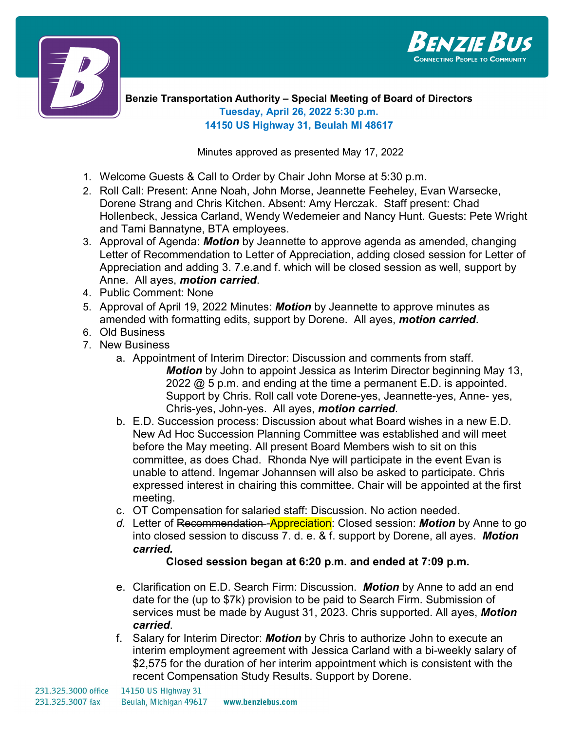



**Benzie Transportation Authority – Special Meeting of Board of Directors Tuesday, April 26, 2022 5:30 p.m. 14150 US Highway 31, Beulah MI 48617**

Minutes approved as presented May 17, 2022

- 1. Welcome Guests & Call to Order by Chair John Morse at 5:30 p.m.
- 2. Roll Call: Present: Anne Noah, John Morse, Jeannette Feeheley, Evan Warsecke, Dorene Strang and Chris Kitchen. Absent: Amy Herczak. Staff present: Chad Hollenbeck, Jessica Carland, Wendy Wedemeier and Nancy Hunt. Guests: Pete Wright and Tami Bannatyne, BTA employees.
- 3. Approval of Agenda: *Motion* by Jeannette to approve agenda as amended, changing Letter of Recommendation to Letter of Appreciation, adding closed session for Letter of Appreciation and adding 3. 7.e.and f. which will be closed session as well, support by Anne. All ayes, *motion carried*.
- 4. Public Comment: None
- 5. Approval of April 19, 2022 Minutes: *Motion* by Jeannette to approve minutes as amended with formatting edits, support by Dorene. All ayes, *motion carried*.
- 6. Old Business
- 7. New Business
	- a. Appointment of Interim Director: Discussion and comments from staff. *Motion* by John to appoint Jessica as Interim Director beginning May 13, 2022  $@$  5 p.m. and ending at the time a permanent E.D. is appointed. Support by Chris. Roll call vote Dorene-yes, Jeannette-yes, Anne- yes, Chris-yes, John-yes. All ayes, *motion carried*.
	- b. E.D. Succession process: Discussion about what Board wishes in a new E.D. New Ad Hoc Succession Planning Committee was established and will meet before the May meeting. All present Board Members wish to sit on this committee, as does Chad. Rhonda Nye will participate in the event Evan is unable to attend. Ingemar Johannsen will also be asked to participate. Chris expressed interest in chairing this committee. Chair will be appointed at the first meeting.
	- c. OT Compensation for salaried staff: Discussion. No action needed.
	- *d.* Letter of Recommendation -Appreciation: Closed session: *Motion* by Anne to go into closed session to discuss 7. d. e. & f. support by Dorene, all ayes. *Motion carried.*

## **Closed session began at 6:20 p.m. and ended at 7:09 p.m.**

- e. Clarification on E.D. Search Firm: Discussion. *Motion* by Anne to add an end date for the (up to \$7k) provision to be paid to Search Firm. Submission of services must be made by August 31, 2023. Chris supported. All ayes, *Motion carried*.
- f. Salary for Interim Director: *Motion* by Chris to authorize John to execute an interim employment agreement with Jessica Carland with a bi-weekly salary of \$2,575 for the duration of her interim appointment which is consistent with the recent Compensation Study Results. Support by Dorene.